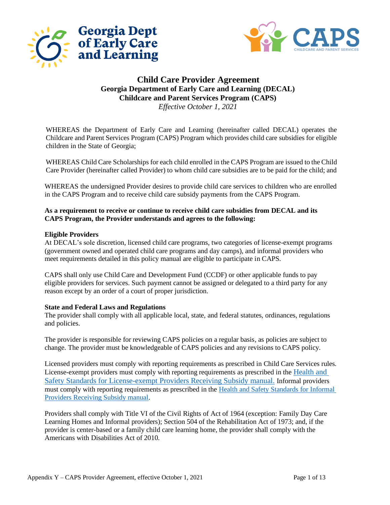



# **Child Care Provider Agreement Georgia Department of Early Care and Learning (DECAL) Childcare and Parent Services Program (CAPS)**

*Effective October 1, 2021*

WHEREAS the Department of Early Care and Learning (hereinafter called DECAL) operates the Childcare and Parent Services Program (CAPS) Program which provides child care subsidies for eligible children in the State of Georgia;

WHEREAS Child Care Scholarships for each child enrolled in the CAPS Program are issued to the Child Care Provider (hereinafter called Provider) to whom child care subsidies are to be paid for the child; and

WHEREAS the undersigned Provider desires to provide child care services to children who are enrolled in the CAPS Program and to receive child care subsidy payments from the CAPS Program.

# **As a requirement to receive or continue to receive child care subsidies from DECAL and its CAPS Program, the Provider understands and agrees to the following:**

# **Eligible Providers**

At DECAL's sole discretion, licensed child care programs, two categories of license-exempt programs (government owned and operated child care programs and day camps), and informal providers who meet requirements detailed in this policy manual are eligible to participate in CAPS.

CAPS shall only use Child Care and Development Fund (CCDF) or other applicable funds to pay eligible providers for services. Such payment cannot be assigned or delegated to a third party for any reason except by an order of a court of proper jurisdiction.

# **State and Federal Laws and Regulations**

The provider shall comply with all applicable local, state, and federal statutes, ordinances, regulations and policies.

The provider is responsible for reviewing CAPS policies on a regular basis, as policies are subject to change. The provider must be knowledgeable of CAPS policies and any revisions to CAPS policy.

Licensed providers must comply with reporting requirements as prescribed in Child Care Services rules. License-exempt providers must comply with reporting requirements as prescribed in the [Health and](http://www.decal.ga.gov/documents/attachments/ExemptprogramsHealth&SafetyStandards.docx)  [Safety Standards for License-exempt Providers Receiving Subsidy manual.](http://www.decal.ga.gov/documents/attachments/ExemptprogramsHealth&SafetyStandards.docx) Informal providers must comply with reporting requirements as prescribed in the [Health and Safety Standards for Informal](https://caps.decal.ga.gov/assets/downloads/CAPS/Appendix_HH-Health%20and%20Safety%20Standards%20for%20Informal%20Providers.pdf)  [Providers Receiving Subsidy manual.](https://caps.decal.ga.gov/assets/downloads/CAPS/Appendix_HH-Health%20and%20Safety%20Standards%20for%20Informal%20Providers.pdf)

Providers shall comply with Title VI of the Civil Rights of Act of 1964 (exception: Family Day Care Learning Homes and Informal providers); Section 504 of the Rehabilitation Act of 1973; and, if the provider is center-based or a family child care learning home, the provider shall comply with the Americans with Disabilities Act of 2010.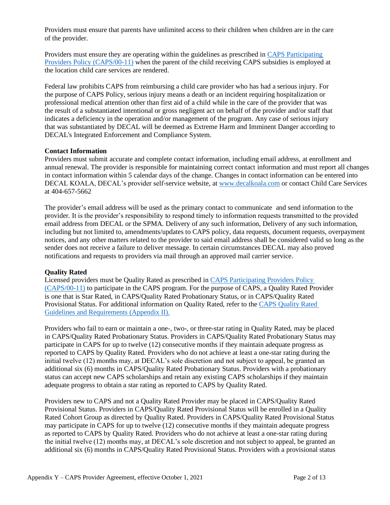Providers must ensure that parents have unlimited access to their children when children are in the care of the provider.

Providers must ensure they are operating within the guidelines as prescribed i[n CAPS Participating](https://caps.decal.ga.gov/assets/downloads/CAPS/11-CAPS_Policy-Participating%20Providers.pdf) [Providers Policy \(CAPS/00-11\)](https://caps.decal.ga.gov/assets/downloads/CAPS/11-CAPS_Policy-Participating%20Providers.pdf) when the parent of the child receiving CAPS subsidies is employed at the location child care services are rendered.

Federal law prohibits CAPS from reimbursing a child care provider who has had a serious injury. For the purpose of CAPS Policy, serious injury means a death or an incident requiring hospitalization or professional medical attention other than first aid of a child while in the care of the provider that was the result of a substantiated intentional or gross negligent act on behalf of the provider and/or staff that indicates a deficiency in the operation and/or management of the program. Any case of serious injury that was substantiated by DECAL will be deemed as Extreme Harm and Imminent Danger according to DECAL's Integrated Enforcement and Compliance System.

# **Contact Information**

Providers must submit accurate and complete contact information, including email address, at enrollment and annual renewal. The provider is responsible for maintaining correct contact information and must report all changes in contact information within 5 calendar days of the change. Changes in contact information can be entered into DECAL KOALA, DECAL's provider self-service website, at [www.decalkoala.com](http://www.decalkoala.com/) or contact Child Care Services at 404-657-5662

The provider's email address will be used as the primary contact to communicate and send information to the provider. It is the provider's responsibility to respond timely to information requests transmitted to the provided email address from DECAL or the SPMA. Delivery of any such information, Delivery of any such information, including but not limited to, amendments/updates to CAPS policy, data requests, document requests, overpayment notices, and any other matters related to the provider to said email address shall be considered valid so long as the sender does not receive a failure to deliver message. In certain circumstances DECAL may also proved notifications and requests to providers via mail through an approved mail carrier service.

# **Quality Rated**

Licensed providers must be Quality Rated as prescribed in [CAPS Participating Providers Policy](https://caps.decal.ga.gov/assets/downloads/CAPS/11-CAPS_Policy-Participating%20Providers.pdf)  [\(CAPS/00-11\)](https://caps.decal.ga.gov/assets/downloads/CAPS/11-CAPS_Policy-Participating%20Providers.pdf) to participate in the CAPS program. For the purpose of CAPS, a Quality Rated Provider is one that is Star Rated, in CAPS/Quality Rated Probationary Status, or in CAPS/Quality Rated Provisional Status. For additional information on Quality Rated, refer to the [CAPS Quality Rated](https://caps.decal.ga.gov/assets/downloads/CAPS/Appendix_II-CAPS%20Quality%20Rated%20Guidelines%20and%20Requirements.pdf)  [Guidelines and Requirements \(Appendix II\).](https://caps.decal.ga.gov/assets/downloads/CAPS/Appendix_II-CAPS%20Quality%20Rated%20Guidelines%20and%20Requirements.pdf)

Providers who fail to earn or maintain a one-, two-, or three-star rating in Quality Rated, may be placed in CAPS/Quality Rated Probationary Status. Providers in CAPS/Quality Rated Probationary Status may participate in CAPS for up to twelve (12) consecutive months if they maintain adequate progress as reported to CAPS by Quality Rated. Providers who do not achieve at least a one-star rating during the initial twelve (12) months may, at DECAL's sole discretion and not subject to appeal, be granted an additional six (6) months in CAPS/Quality Rated Probationary Status. Providers with a probationary status can accept new CAPS scholarships and retain any existing CAPS scholarships if they maintain adequate progress to obtain a star rating as reported to CAPS by Quality Rated.

Providers new to CAPS and not a Quality Rated Provider may be placed in CAPS/Quality Rated Provisional Status. Providers in CAPS/Quality Rated Provisional Status will be enrolled in a Quality Rated Cohort Group as directed by Quality Rated. Providers in CAPS/Quality Rated Provisional Status may participate in CAPS for up to twelve (12) consecutive months if they maintain adequate progress as reported to CAPS by Quality Rated. Providers who do not achieve at least a one-star rating during the initial twelve (12) months may, at DECAL's sole discretion and not subject to appeal, be granted an additional six (6) months in CAPS/Quality Rated Provisional Status. Providers with a provisional status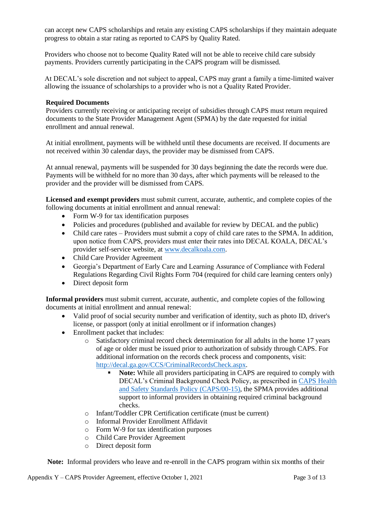can accept new CAPS scholarships and retain any existing CAPS scholarships if they maintain adequate progress to obtain a star rating as reported to CAPS by Quality Rated.

Providers who choose not to become Quality Rated will not be able to receive child care subsidy payments. Providers currently participating in the CAPS program will be dismissed.

At DECAL's sole discretion and not subject to appeal, CAPS may grant a family a time-limited waiver allowing the issuance of scholarships to a provider who is not a Quality Rated Provider.

#### **Required Documents**

Providers currently receiving or anticipating receipt of subsidies through CAPS must return required documents to the State Provider Management Agent (SPMA) by the date requested for initial enrollment and annual renewal.

At initial enrollment, payments will be withheld until these documents are received. If documents are not received within 30 calendar days, the provider may be dismissed from CAPS.

At annual renewal, payments will be suspended for 30 days beginning the date the records were due. Payments will be withheld for no more than 30 days, after which payments will be released to the provider and the provider will be dismissed from CAPS.

**Licensed and exempt providers** must submit current, accurate, authentic, and complete copies of the following documents at initial enrollment and annual renewal:

- Form W-9 for tax identification purposes
- Policies and procedures (published and available for review by DECAL and the public)
- Child care rates Providers must submit a copy of child care rates to the SPMA. In addition, upon notice from CAPS, providers must enter their rates into DECAL KOALA, DECAL's provider self-service website, at [www.decalkoala.com.](http://www.decalkoala.com/)
- Child Care Provider Agreement
- Georgia's Department of Early Care and Learning Assurance of Compliance with Federal Regulations Regarding Civil Rights Form 704 (required for child care learning centers only)
- Direct deposit form

**Informal providers** must submit current, accurate, authentic, and complete copies of the following documents at initial enrollment and annual renewal:

- Valid proof of social security number and verification of identity, such as photo ID, driver's license, or passport (only at initial enrollment or if information changes)
- Enrollment packet that includes:
	- o Satisfactory criminal record check determination for all adults in the home 17 years of age or older must be issued prior to authorization of subsidy through CAPS. For additional information on the records check process and components, visit: [http://decal.ga.gov/CCS/CriminalRecordsCheck.aspx.](http://decal.ga.gov/CCS/CriminalRecordsCheck.aspx)
		- **Note:** While all providers participating in CAPS are required to comply with DECAL's Criminal Background Check Policy, as prescribed in [CAPS Health](https://caps.decal.ga.gov/assets/downloads/CAPS/15-CAPS_Policy-Health%20and%20Safety%20Standards.pdf)  [and Safety Standards Policy \(CAPS/00-15\),](https://caps.decal.ga.gov/assets/downloads/CAPS/15-CAPS_Policy-Health%20and%20Safety%20Standards.pdf) the SPMA provides additional support to informal providers in obtaining required criminal background checks.
	- o Infant/Toddler CPR Certification certificate (must be current)
	- o Informal Provider Enrollment Affidavit
	- o Form W-9 for tax identification purposes
	- o Child Care Provider Agreement
	- o Direct deposit form

**Note:** Informal providers who leave and re-enroll in the CAPS program within six months of their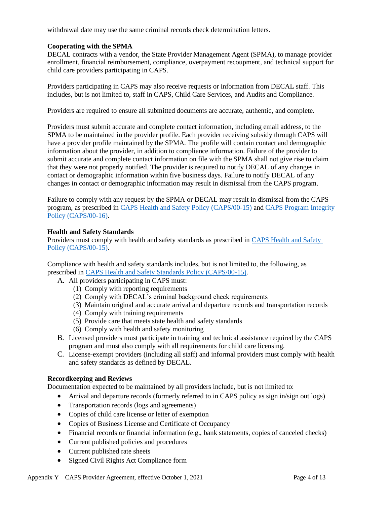withdrawal date may use the same criminal records check determination letters.

# **Cooperating with the SPMA**

DECAL contracts with a vendor, the State Provider Management Agent (SPMA), to manage provider enrollment, financial reimbursement, compliance, overpayment recoupment, and technical support for child care providers participating in CAPS.

Providers participating in CAPS may also receive requests or information from DECAL staff. This includes, but is not limited to, staff in CAPS, Child Care Services, and Audits and Compliance.

Providers are required to ensure all submitted documents are accurate, authentic, and complete.

Providers must submit accurate and complete contact information, including email address, to the SPMA to be maintained in the provider profile. Each provider receiving subsidy through CAPS will have a provider profile maintained by the SPMA. The profile will contain contact and demographic information about the provider, in addition to compliance information. Failure of the provider to submit accurate and complete contact information on file with the SPMA shall not give rise to claim that they were not properly notified. The provider is required to notify DECAL of any changes in contact or demographic information within five business days. Failure to notify DECAL of any changes in contact or demographic information may result in dismissal from the CAPS program.

Failure to comply with any request by the SPMA or DECAL may result in dismissal from the CAPS program, as prescribed in [CAPS Health and Safety Policy \(CAPS/00-15\)](https://caps.decal.ga.gov/assets/downloads/CAPS/15-CAPS_Policy-Health%20and%20Safety%20Standards.pdf) an[d CAPS Program Integrity](https://caps.decal.ga.gov/assets/downloads/CAPS/16-CAPS_Policy-Program%20Integrity.pdf)  [Policy \(CAPS/00-16\).](https://caps.decal.ga.gov/assets/downloads/CAPS/16-CAPS_Policy-Program%20Integrity.pdf)

#### **Health and Safety Standards**

Providers must comply with health and safety standards as prescribed in [CAPS Health and Safety](https://caps.decal.ga.gov/assets/downloads/CAPS/15-CAPS_Policy-Health%20and%20Safety%20Standards.pdf)  [Policy \(CAPS/00-15\).](https://caps.decal.ga.gov/assets/downloads/CAPS/15-CAPS_Policy-Health%20and%20Safety%20Standards.pdf)

Compliance with health and safety standards includes, but is not limited to, the following, as prescribed in [CAPS Health and Safety Standards Policy \(CAPS/00-15\).](https://caps.decal.ga.gov/assets/downloads/CAPS/15-CAPS_Policy-Health%20and%20Safety%20Standards.pdf)

- A. All providers participating in CAPS must:
	- (1) Comply with reporting requirements
		- (2) Comply with DECAL's criminal background check requirements
		- (3) Maintain original and accurate arrival and departure records and transportation records
		- (4) Comply with training requirements
		- (5) Provide care that meets state health and safety standards
		- (6) Comply with health and safety monitoring
- B. Licensed providers must participate in training and technical assistance required by the CAPS program and must also comply with all requirements for child care licensing.
- C. License-exempt providers (including all staff) and informal providers must comply with health and safety standards as defined by DECAL.

#### **Recordkeeping and Reviews**

Documentation expected to be maintained by all providers include, but is not limited to:

- Arrival and departure records (formerly referred to in CAPS policy as sign in/sign out logs)
- Transportation records (logs and agreements)
- Copies of child care license or letter of exemption
- Copies of Business License and Certificate of Occupancy
- Financial records or financial information (e.g., bank statements, copies of canceled checks)
- Current published policies and procedures
- Current published rate sheets
- Signed Civil Rights Act Compliance form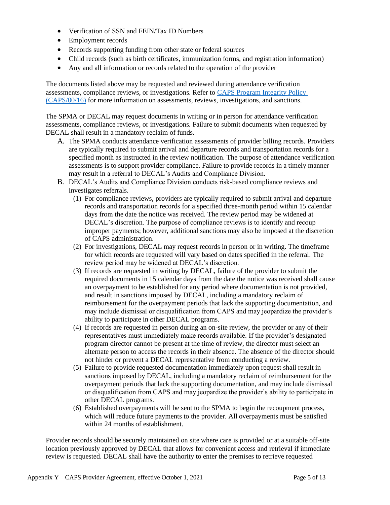- Verification of SSN and FEIN/Tax ID Numbers
- Employment records
- Records supporting funding from other state or federal sources
- Child records (such as birth certificates, immunization forms, and registration information)
- Any and all information or records related to the operation of the provider

The documents listed above may be requested and reviewed during attendance verification assessments, compliance reviews, or investigations. Refer to [CAPS Program Integrity Policy](https://caps.decal.ga.gov/assets/downloads/CAPS/16-CAPS_Policy-Program%20Integrity.pdf)  [\(CAPS/00/16\)](https://caps.decal.ga.gov/assets/downloads/CAPS/16-CAPS_Policy-Program%20Integrity.pdf) for more information on assessments, reviews, investigations, and sanctions.

The SPMA or DECAL may request documents in writing or in person for attendance verification assessments, compliance reviews, or investigations. Failure to submit documents when requested by DECAL shall result in a mandatory reclaim of funds.

- A. The SPMA conducts attendance verification assessments of provider billing records. Providers are typically required to submit arrival and departure records and transportation records for a specified month as instructed in the review notification. The purpose of attendance verification assessments is to support provider compliance. Failure to provide records in a timely manner may result in a referral to DECAL's Audits and Compliance Division.
- B. DECAL's Audits and Compliance Division conducts risk-based compliance reviews and investigates referrals.
	- (1) For compliance reviews, providers are typically required to submit arrival and departure records and transportation records for a specified three-month period within 15 calendar days from the date the notice was received. The review period may be widened at DECAL's discretion. The purpose of compliance reviews is to identify and recoup improper payments; however, additional sanctions may also be imposed at the discretion of CAPS administration.
	- (2) For investigations, DECAL may request records in person or in writing. The timeframe for which records are requested will vary based on dates specified in the referral. The review period may be widened at DECAL's discretion.
	- (3) If records are requested in writing by DECAL, failure of the provider to submit the required documents in 15 calendar days from the date the notice was received shall cause an overpayment to be established for any period where documentation is not provided, and result in sanctions imposed by DECAL, including a mandatory reclaim of reimbursement for the overpayment periods that lack the supporting documentation, and may include dismissal or disqualification from CAPS and may jeopardize the provider's ability to participate in other DECAL programs.
	- (4) If records are requested in person during an on-site review, the provider or any of their representatives must immediately make records available. If the provider's designated program director cannot be present at the time of review, the director must select an alternate person to access the records in their absence. The absence of the director should not hinder or prevent a DECAL representative from conducting a review.
	- (5) Failure to provide requested documentation immediately upon request shall result in sanctions imposed by DECAL, including a mandatory reclaim of reimbursement for the overpayment periods that lack the supporting documentation, and may include dismissal or disqualification from CAPS and may jeopardize the provider's ability to participate in other DECAL programs.
	- (6) Established overpayments will be sent to the SPMA to begin the recoupment process, which will reduce future payments to the provider. All overpayments must be satisfied within 24 months of establishment.

Provider records should be securely maintained on site where care is provided or at a suitable off-site location previously approved by DECAL that allows for convenient access and retrieval if immediate review is requested. DECAL shall have the authority to enter the premises to retrieve requested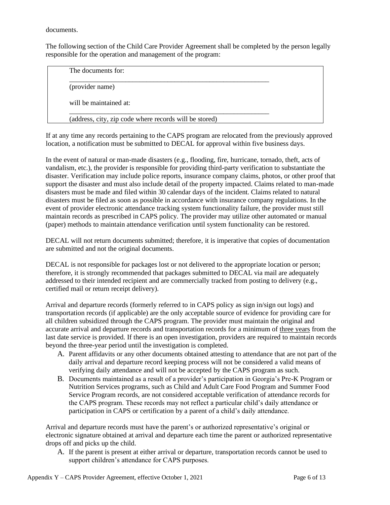documents.

The following section of the Child Care Provider Agreement shall be completed by the person legally responsible for the operation and management of the program:

| The documents for:                                     |  |
|--------------------------------------------------------|--|
| (provider name)                                        |  |
| will be maintained at:                                 |  |
| (address, city, zip code where records will be stored) |  |

If at any time any records pertaining to the CAPS program are relocated from the previously approved location, a notification must be submitted to DECAL for approval within five business days.

In the event of natural or man-made disasters (e.g., flooding, fire, hurricane, tornado, theft, acts of vandalism, etc.), the provider is responsible for providing third-party verification to substantiate the disaster. Verification may include police reports, insurance company claims, photos, or other proof that support the disaster and must also include detail of the property impacted. Claims related to man-made disasters must be made and filed within 30 calendar days of the incident. Claims related to natural disasters must be filed as soon as possible in accordance with insurance company regulations. In the event of provider electronic attendance tracking system functionality failure, the provider must still maintain records as prescribed in CAPS policy. The provider may utilize other automated or manual (paper) methods to maintain attendance verification until system functionality can be restored.

DECAL will not return documents submitted; therefore, it is imperative that copies of documentation are submitted and not the original documents.

DECAL is not responsible for packages lost or not delivered to the appropriate location or person; therefore, it is strongly recommended that packages submitted to DECAL via mail are adequately addressed to their intended recipient and are commercially tracked from posting to delivery (e.g., certified mail or return receipt delivery).

Arrival and departure records (formerly referred to in CAPS policy as sign in/sign out logs) and transportation records (if applicable) are the only acceptable source of evidence for providing care for all children subsidized through the CAPS program. The provider must maintain the original and accurate arrival and departure records and transportation records for a minimum of three years from the last date service is provided. If there is an open investigation, providers are required to maintain records beyond the three-year period until the investigation is completed.

- A. Parent affidavits or any other documents obtained attesting to attendance that are not part of the daily arrival and departure record keeping process will not be considered a valid means of verifying daily attendance and will not be accepted by the CAPS program as such.
- B. Documents maintained as a result of a provider's participation in Georgia's Pre-K Program or Nutrition Services programs, such as Child and Adult Care Food Program and Summer Food Service Program records, are not considered acceptable verification of attendance records for the CAPS program. These records may not reflect a particular child's daily attendance or participation in CAPS or certification by a parent of a child's daily attendance.

Arrival and departure records must have the parent's or authorized representative's original or electronic signature obtained at arrival and departure each time the parent or authorized representative drops off and picks up the child.

A. If the parent is present at either arrival or departure, transportation records cannot be used to support children's attendance for CAPS purposes.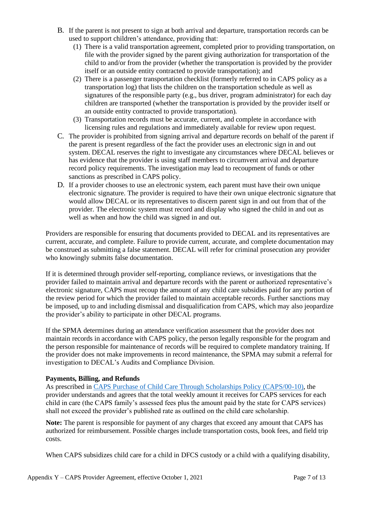- B. If the parent is not present to sign at both arrival and departure, transportation records can be used to support children's attendance, providing that:
	- (1) There is a valid transportation agreement, completed prior to providing transportation, on file with the provider signed by the parent giving authorization for transportation of the child to and/or from the provider (whether the transportation is provided by the provider itself or an outside entity contracted to provide transportation); and
	- (2) There is a passenger transportation checklist (formerly referred to in CAPS policy as a transportation log) that lists the children on the transportation schedule as well as signatures of the responsible party (e.g., bus driver, program administrator) for each day children are transported (whether the transportation is provided by the provider itself or an outside entity contracted to provide transportation).
	- (3) Transportation records must be accurate, current, and complete in accordance with licensing rules and regulations and immediately available for review upon request.
- C. The provider is prohibited from signing arrival and departure records on behalf of the parent if the parent is present regardless of the fact the provider uses an electronic sign in and out system. DECAL reserves the right to investigate any circumstances where DECAL believes or has evidence that the provider is using staff members to circumvent arrival and departure record policy requirements. The investigation may lead to recoupment of funds or other sanctions as prescribed in CAPS policy.
- D. If a provider chooses to use an electronic system, each parent must have their own unique electronic signature. The provider is required to have their own unique electronic signature that would allow DECAL or its representatives to discern parent sign in and out from that of the provider. The electronic system must record and display who signed the child in and out as well as when and how the child was signed in and out.

Providers are responsible for ensuring that documents provided to DECAL and its representatives are current, accurate, and complete. Failure to provide current, accurate, and complete documentation may be construed as submitting a false statement. DECAL will refer for criminal prosecution any provider who knowingly submits false documentation.

If it is determined through provider self-reporting, compliance reviews, or investigations that the provider failed to maintain arrival and departure records with the parent or authorized representative's electronic signature, CAPS must recoup the amount of any child care subsidies paid for any portion of the review period for which the provider failed to maintain acceptable records. Further sanctions may be imposed, up to and including dismissal and disqualification from CAPS, which may also jeopardize the provider's ability to participate in other DECAL programs.

If the SPMA determines during an attendance verification assessment that the provider does not maintain records in accordance with CAPS policy, the person legally responsible for the program and the person responsible for maintenance of records will be required to complete mandatory training. If the provider does not make improvements in record maintenance, the SPMA may submit a referral for investigation to DECAL's Audits and Compliance Division.

# **Payments, Billing, and Refunds**

As prescribed in [CAPS Purchase of Child Care Through Scholarships Policy \(CAPS/00-10\),](https://caps.decal.ga.gov/assets/downloads/CAPS/10-CAPS_Policy-Purchase%20of%20Child%20Care%20through%20Scholarships.pdf) the provider understands and agrees that the total weekly amount it receives for CAPS services for each child in care (the CAPS family's assessed fees plus the amount paid by the state for CAPS services) shall not exceed the provider's published rate as outlined on the child care scholarship.

**Note:** The parent is responsible for payment of any charges that exceed any amount that CAPS has authorized for reimbursement. Possible charges include transportation costs, book fees, and field trip costs.

When CAPS subsidizes child care for a child in DFCS custody or a child with a qualifying disability,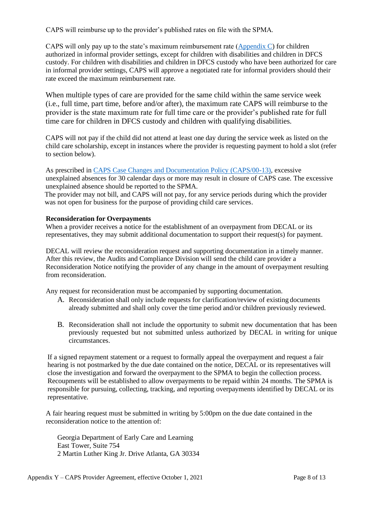CAPS will reimburse up to the provider's published rates on file with the SPMA.

CAPS will only pay up to the state's maximum reimbursement rate [\(Appendix C\)](https://caps.decal.ga.gov/assets/downloads/CAPS/AppendixC-CAPS%20Reimbursement%20Rates.pdf) for children authorized in informal provider settings, except for children with disabilities and children in DFCS custody. For children with disabilities and children in DFCS custody who have been authorized for care in informal provider settings, CAPS will approve a negotiated rate for informal providers should their rate exceed the maximum reimbursement rate.

When multiple types of care are provided for the same child within the same service week (i.e., full time, part time, before and/or after), the maximum rate CAPS will reimburse to the provider is the state maximum rate for full time care or the provider's published rate for full time care for children in DFCS custody and children with qualifying disabilities.

CAPS will not pay if the child did not attend at least one day during the service week as listed on the child care scholarship, except in instances where the provider is requesting payment to hold a slot (refer to section below).

As prescribed in [CAPS Case Changes and Documentation Policy \(CAPS/00-13\),](https://caps.decal.ga.gov/assets/downloads/CAPS/13-CAPS_Policy-Case%20Changes%20and%20Documentation.pdf) excessive unexplained absences for 30 calendar days or more may result in closure of CAPS case. The excessive unexplained absence should be reported to the SPMA.

The provider may not bill, and CAPS will not pay, for any service periods during which the provider was not open for business for the purpose of providing child care services.

# **Reconsideration for Overpayments**

When a provider receives a notice for the establishment of an overpayment from DECAL or its representatives, they may submit additional documentation to support their request(s) for payment.

DECAL will review the reconsideration request and supporting documentation in a timely manner. After this review, the Audits and Compliance Division will send the child care provider a Reconsideration Notice notifying the provider of any change in the amount of overpayment resulting from reconsideration.

Any request for reconsideration must be accompanied by supporting documentation.

- A. Reconsideration shall only include requests for clarification/review of existing documents already submitted and shall only cover the time period and/or children previously reviewed.
- B. Reconsideration shall not include the opportunity to submit new documentation that has been previously requested but not submitted unless authorized by DECAL in writing for unique circumstances.

If a signed repayment statement or a request to formally appeal the overpayment and request a fair hearing is not postmarked by the due date contained on the notice, DECAL or its representatives will close the investigation and forward the overpayment to the SPMA to begin the collection process. Recoupments will be established to allow overpayments to be repaid within 24 months. The SPMA is responsible for pursuing, collecting, tracking, and reporting overpayments identified by DECAL or its representative.

A fair hearing request must be submitted in writing by 5:00pm on the due date contained in the reconsideration notice to the attention of:

Georgia Department of Early Care and Learning East Tower, Suite 754 2 Martin Luther King Jr. Drive Atlanta, GA 30334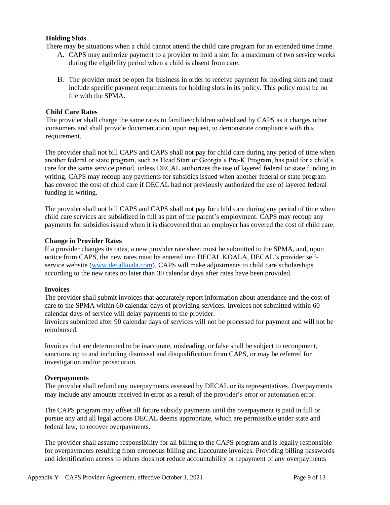#### **Holding Slots**

There may be situations when a child cannot attend the child care program for an extended time frame.

- A. CAPS may authorize payment to a provider to hold a slot for a maximum of two service weeks during the eligibility period when a child is absent from care.
- B. The provider must be open for business in order to receive payment for holding slots and must include specific payment requirements for holding slots in its policy. This policy must be on file with the SPMA.

### **Child Care Rates**

The provider shall charge the same rates to families/children subsidized by CAPS as it charges other consumers and shall provide documentation, upon request, to demonstrate compliance with this requirement.

The provider shall not bill CAPS and CAPS shall not pay for child care during any period of time when another federal or state program, such as Head Start or Georgia's Pre-K Program, has paid for a child's care for the same service period, unless DECAL authorizes the use of layered federal or state funding in writing. CAPS may recoup any payments for subsidies issued when another federal or state program has covered the cost of child care if DECAL had not previously authorized the use of layered federal funding in writing.

The provider shall not bill CAPS and CAPS shall not pay for child care during any period of time when child care services are subsidized in full as part of the parent's employment. CAPS may recoup any payments for subsidies issued when it is discovered that an employer has covered the cost of child care.

#### **Change in Provider Rates**

If a provider changes its rates, a new provider rate sheet must be submitted to the SPMA, and, upon notice from CAPS, the new rates must be entered into DECAL KOALA, DECAL's provider selfservice website [\(www.decalkoala.com\)](https://decalkoala.com/). CAPS will make adjustments to child care scholarships according to the new rates no later than 30 calendar days after rates have been provided.

#### **Invoices**

The provider shall submit invoices that accurately report information about attendance and the cost of care to the SPMA within 60 calendar days of providing services. Invoices not submitted within 60 calendar days of service will delay payments to the provider.

Invoices submitted after 90 calendar days of services will not be processed for payment and will not be reimbursed.

Invoices that are determined to be inaccurate, misleading, or false shall be subject to recoupment, sanctions up to and including dismissal and disqualification from CAPS, or may be referred for investigation and/or prosecution.

#### **Overpayments**

The provider shall refund any overpayments assessed by DECAL or its representatives. Overpayments may include any amounts received in error as a result of the provider's error or automation error.

The CAPS program may offset all future subsidy payments until the overpayment is paid in full or pursue any and all legal actions DECAL deems appropriate, which are permissible under state and federal law, to recover overpayments.

The provider shall assume responsibility for all billing to the CAPS program and is legally responsible for overpayments resulting from erroneous billing and inaccurate invoices. Providing billing passwords and identification access to others does not reduce accountability or repayment of any overpayments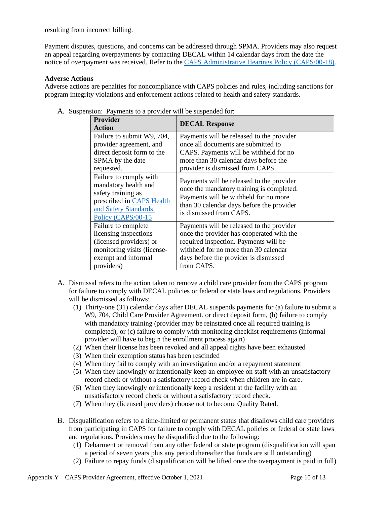resulting from incorrect billing.

Payment disputes, questions, and concerns can be addressed through SPMA. Providers may also request an appeal regarding overpayments by contacting DECAL within 14 calendar days from the date the notice of overpayment was received. Refer to the [CAPS Administrative Hearings Policy \(CAPS/00-18\).](https://caps.decal.ga.gov/assets/downloads/CAPS/18-CAPS_Policy-Administrative%20Hearings.pdf)

# **Adverse Actions**

Adverse actions are penalties for noncompliance with CAPS policies and rules, including sanctions for program integrity violations and enforcement actions related to health and safety standards.

| <b>Provider</b><br><b>Action</b>                                                                                                                | <b>DECAL Response</b>                                                                                                                                                                                   |  |
|-------------------------------------------------------------------------------------------------------------------------------------------------|---------------------------------------------------------------------------------------------------------------------------------------------------------------------------------------------------------|--|
| Failure to submit W9, 704,                                                                                                                      | Payments will be released to the provider                                                                                                                                                               |  |
| provider agreement, and                                                                                                                         | once all documents are submitted to                                                                                                                                                                     |  |
| direct deposit form to the                                                                                                                      | CAPS. Payments will be withheld for no                                                                                                                                                                  |  |
| SPMA by the date                                                                                                                                | more than 30 calendar days before the                                                                                                                                                                   |  |
| requested.                                                                                                                                      | provider is dismissed from CAPS.                                                                                                                                                                        |  |
| Failure to comply with<br>mandatory health and<br>safety training as<br>prescribed in CAPS Health<br>and Safety Standards<br>Policy (CAPS/00-15 | Payments will be released to the provider<br>once the mandatory training is completed.<br>Payments will be withheld for no more<br>than 30 calendar days before the provider<br>is dismissed from CAPS. |  |
| Failure to complete                                                                                                                             | Payments will be released to the provider                                                                                                                                                               |  |
| licensing inspections                                                                                                                           | once the provider has cooperated with the                                                                                                                                                               |  |
| (licensed providers) or                                                                                                                         | required inspection. Payments will be                                                                                                                                                                   |  |
| monitoring visits (license-                                                                                                                     | withheld for no more than 30 calendar                                                                                                                                                                   |  |
| exempt and informal                                                                                                                             | days before the provider is dismissed                                                                                                                                                                   |  |
| providers)                                                                                                                                      | from CAPS.                                                                                                                                                                                              |  |

A. Suspension: Payments to a provider will be suspended for:

- A. Dismissal refers to the action taken to remove a child care provider from the CAPS program for failure to comply with DECAL policies or federal or state laws and regulations. Providers will be dismissed as follows:
	- (1) Thirty-one (31) calendar days after DECAL suspends payments for (a) failure to submit a W9, 704, Child Care Provider Agreement. or direct deposit form, (b) failure to comply with mandatory training (provider may be reinstated once all required training is completed), or (c) failure to comply with monitoring checklist requirements (informal provider will have to begin the enrollment process again)
	- (2) When their license has been revoked and all appeal rights have been exhausted
	- (3) When their exemption status has been rescinded
	- (4) When they fail to comply with an investigation and/or a repayment statement
	- (5) When they knowingly or intentionally keep an employee on staff with an unsatisfactory record check or without a satisfactory record check when children are in care.
	- (6) When they knowingly or intentionally keep a resident at the facility with an unsatisfactory record check or without a satisfactory record check.
	- (7) When they (licensed providers) choose not to become Quality Rated.
- B. Disqualification refers to a time-limited or permanent status that disallows child care providers from participating in CAPS for failure to comply with DECAL policies or federal or state laws and regulations. Providers may be disqualified due to the following:
	- (1) Debarment or removal from any other federal or state program (disqualification will span a period of seven years plus any period thereafter that funds are still outstanding)
	- (2) Failure to repay funds (disqualification will be lifted once the overpayment is paid in full)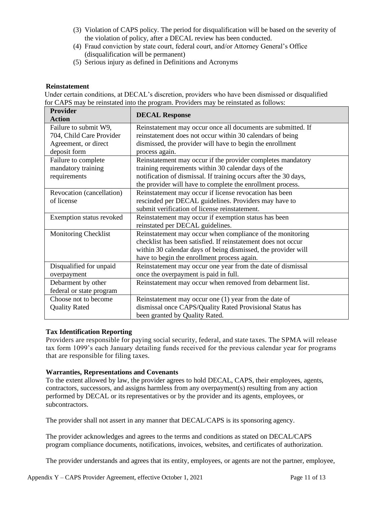- (3) Violation of CAPS policy. The period for disqualification will be based on the severity of the violation of policy, after a DECAL review has been conducted.
- (4) Fraud conviction by state court, federal court, and/or Attorney General's Office (disqualification will be permanent)
- (5) Serious injury as defined i[n Definitions and Acronyms](https://caps.decal.ga.gov/assets/downloads/CAPS/02-CAPS_Policy-Definitions%20and%20Acronyms.pdf)

# **Reinstatement**

Under certain conditions, at DECAL's discretion, providers who have been dismissed or disqualified for CAPS may be reinstated into the program. Providers may be reinstated as follows:

| <b>Provider</b><br><b>Action</b> | <b>DECAL Response</b>                                            |  |  |
|----------------------------------|------------------------------------------------------------------|--|--|
| Failure to submit W9,            | Reinstatement may occur once all documents are submitted. If     |  |  |
| 704, Child Care Provider         | reinstatement does not occur within 30 calendars of being        |  |  |
| Agreement, or direct             | dismissed, the provider will have to begin the enrollment        |  |  |
| deposit form                     | process again.                                                   |  |  |
| Failure to complete              | Reinstatement may occur if the provider completes mandatory      |  |  |
| mandatory training               | training requirements within 30 calendar days of the             |  |  |
| requirements                     | notification of dismissal. If training occurs after the 30 days, |  |  |
|                                  | the provider will have to complete the enrollment process.       |  |  |
| Revocation (cancellation)        | Reinstatement may occur if license revocation has been           |  |  |
| of license                       | rescinded per DECAL guidelines. Providers may have to            |  |  |
|                                  | submit verification of license reinstatement.                    |  |  |
| Exemption status revoked         | Reinstatement may occur if exemption status has been             |  |  |
|                                  | reinstated per DECAL guidelines.                                 |  |  |
| <b>Monitoring Checklist</b>      | Reinstatement may occur when compliance of the monitoring        |  |  |
|                                  | checklist has been satisfied. If reinstatement does not occur    |  |  |
|                                  | within 30 calendar days of being dismissed, the provider will    |  |  |
|                                  | have to begin the enrollment process again.                      |  |  |
| Disqualified for unpaid          | Reinstatement may occur one year from the date of dismissal      |  |  |
| overpayment                      | once the overpayment is paid in full.                            |  |  |
| Debarment by other               | Reinstatement may occur when removed from debarment list.        |  |  |
| federal or state program         |                                                                  |  |  |
| Choose not to become             | Reinstatement may occur one (1) year from the date of            |  |  |
| <b>Quality Rated</b>             | dismissal once CAPS/Quality Rated Provisional Status has         |  |  |
|                                  | been granted by Quality Rated.                                   |  |  |

# **Tax Identification Reporting**

Providers are responsible for paying social security, federal, and state taxes. The SPMA will release tax form 1099's each January detailing funds received for the previous calendar year for programs that are responsible for filing taxes.

# **Warranties, Representations and Covenants**

To the extent allowed by law, the provider agrees to hold DECAL, CAPS, their employees, agents, contractors, successors, and assigns harmless from any overpayment(s) resulting from any action performed by DECAL or its representatives or by the provider and its agents, employees, or subcontractors.

The provider shall not assert in any manner that DECAL/CAPS is its sponsoring agency.

The provider acknowledges and agrees to the terms and conditions as stated on DECAL/CAPS program compliance documents, notifications, invoices, websites, and certificates of authorization.

The provider understands and agrees that its entity, employees, or agents are not the partner, employee,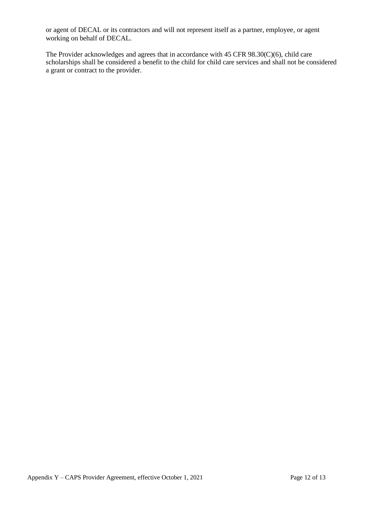or agent of DECAL or its contractors and will not represent itself as a partner, employee, or agent working on behalf of DECAL.

The Provider acknowledges and agrees that in accordance with 45 CFR 98.30(C)(6), child care scholarships shall be considered a benefit to the child for child care services and shall not be considered a grant or contract to the provider.